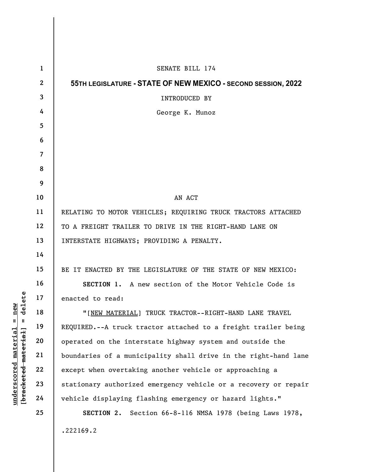|                                     | $\mathbf{1}$   | SENATE BILL 174                                                 |
|-------------------------------------|----------------|-----------------------------------------------------------------|
|                                     | $\mathbf{2}$   | 55TH LEGISLATURE - STATE OF NEW MEXICO - SECOND SESSION, 2022   |
|                                     | $\mathbf{3}$   | INTRODUCED BY                                                   |
|                                     | 4              | George K. Munoz                                                 |
|                                     | 5              |                                                                 |
|                                     | 6              |                                                                 |
|                                     | $\overline{7}$ |                                                                 |
|                                     | 8              |                                                                 |
|                                     | 9              |                                                                 |
|                                     | 10             | AN ACT                                                          |
|                                     | 11             | RELATING TO MOTOR VEHICLES; REQUIRING TRUCK TRACTORS ATTACHED   |
|                                     | 12             | TO A FREIGHT TRAILER TO DRIVE IN THE RIGHT-HAND LANE ON         |
|                                     | 13             | INTERSTATE HIGHWAYS; PROVIDING A PENALTY.                       |
|                                     | 14             |                                                                 |
|                                     | 15             | BE IT ENACTED BY THE LEGISLATURE OF THE STATE OF NEW MEXICO:    |
|                                     | 16             | SECTION 1. A new section of the Motor Vehicle Code is           |
| ete<br>≱ ਜ                          | 17             | enacted to read:                                                |
| a<br>a<br>$\frac{e}{d}$             | 18             | "[NEW MATERIAL] TRUCK TRACTOR--RIGHT-HAND LANE TRAVEL           |
| $\mathsf{I}$<br>$\mathbf{I}$        | 19             | REQUIRED.--A truck tractor attached to a freight trailer being  |
| <u>material</u>                     | 20             | operated on the interstate highway system and outside the       |
|                                     | 21             | boundaries of a municipality shall drive in the right-hand lane |
|                                     | 22             | except when overtaking another vehicle or approaching a         |
| [bracketed material]<br>underscored | 23             | stationary authorized emergency vehicle or a recovery or repair |
|                                     | 24             | vehicle displaying flashing emergency or hazard lights."        |
|                                     | 25             | SECTION 2. Section 66-8-116 NMSA 1978 (being Laws 1978,         |
|                                     |                | .222169.2                                                       |
|                                     |                |                                                                 |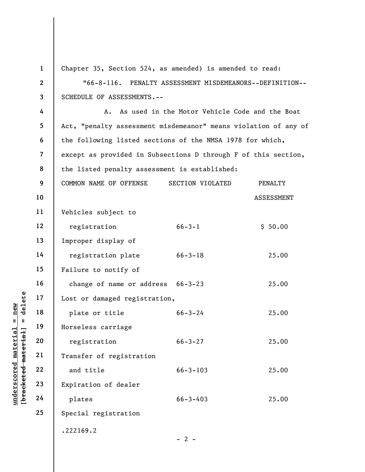|                                                           | $\mathbf{1}$   | Chapter 35, Section 524, as amended) is amended to read:        |                                                           |                   |  |  |  |  |
|-----------------------------------------------------------|----------------|-----------------------------------------------------------------|-----------------------------------------------------------|-------------------|--|--|--|--|
|                                                           | $\mathbf{2}$   | $"66-8-116.$<br>PENALTY ASSESSMENT MISDEMEANORS--DEFINITION--   |                                                           |                   |  |  |  |  |
|                                                           | 3              | SCHEDULE OF ASSESSMENTS.--                                      |                                                           |                   |  |  |  |  |
|                                                           | 4              | Α.                                                              | As used in the Motor Vehicle Code and the Boat            |                   |  |  |  |  |
|                                                           | 5              | Act, "penalty assessment misdemeanor" means violation of any of |                                                           |                   |  |  |  |  |
|                                                           | 6              |                                                                 | the following listed sections of the NMSA 1978 for which, |                   |  |  |  |  |
|                                                           | $\overline{7}$ | except as provided in Subsections D through F of this section,  |                                                           |                   |  |  |  |  |
|                                                           | 8              | the listed penalty assessment is established:                   |                                                           |                   |  |  |  |  |
|                                                           | 9              | COMMON NAME OF OFFENSE                                          | SECTION VIOLATED                                          | PENALTY           |  |  |  |  |
|                                                           | 10             |                                                                 |                                                           | <b>ASSESSMENT</b> |  |  |  |  |
|                                                           | 11             | Vehicles subject to                                             |                                                           |                   |  |  |  |  |
|                                                           | 12             | registration                                                    | $66 - 3 - 1$                                              | \$50.00           |  |  |  |  |
|                                                           | 13             | Improper display of                                             |                                                           |                   |  |  |  |  |
|                                                           | 14             | registration plate                                              | $66 - 3 - 18$                                             | 25.00             |  |  |  |  |
|                                                           | 15             | Failure to notify of                                            |                                                           |                   |  |  |  |  |
|                                                           | 16             | change of name or address 66-3-23                               |                                                           | 25.00             |  |  |  |  |
| delete                                                    | 17             | Lost or damaged registration,                                   |                                                           |                   |  |  |  |  |
| new<br>Ш                                                  | 18             | plate or title                                                  | $66 - 3 - 24$                                             | 25.00             |  |  |  |  |
| - 11                                                      | 19             | Horseless carriage                                              |                                                           |                   |  |  |  |  |
|                                                           | 20             | registration                                                    | $66 - 3 - 27$                                             | 25.00             |  |  |  |  |
|                                                           | 21             | Transfer of registration                                        |                                                           |                   |  |  |  |  |
| underscored material<br>[ <del>bracketed material</del> ] | 22             | and title                                                       | $66 - 3 - 103$                                            | 25.00             |  |  |  |  |
|                                                           | 23             | Expiration of dealer                                            |                                                           |                   |  |  |  |  |
|                                                           | 24             | plates                                                          | $66 - 3 - 403$                                            | 25.00             |  |  |  |  |
|                                                           | 25             | Special registration                                            |                                                           |                   |  |  |  |  |
|                                                           |                | .222169.2                                                       |                                                           |                   |  |  |  |  |
|                                                           |                |                                                                 | $-2-$                                                     |                   |  |  |  |  |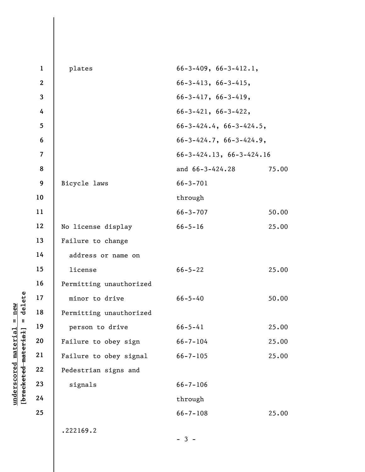|                                            | $\mathbf{1}$   | plates                  | $66 - 3 - 409$ , $66 - 3 - 412.1$ ,   |       |  |  |
|--------------------------------------------|----------------|-------------------------|---------------------------------------|-------|--|--|
|                                            | $\overline{2}$ |                         | $66 - 3 - 413$ , $66 - 3 - 415$ ,     |       |  |  |
|                                            | 3              |                         | $66 - 3 - 417$ , $66 - 3 - 419$ ,     |       |  |  |
|                                            | 4              |                         | $66 - 3 - 421, 66 - 3 - 422,$         |       |  |  |
|                                            | 5              |                         | $66 - 3 - 424.4$ , $66 - 3 - 424.5$ , |       |  |  |
|                                            | 6              |                         | $66 - 3 - 424.7$ , $66 - 3 - 424.9$ , |       |  |  |
|                                            | $\overline{7}$ |                         | $66 - 3 - 424.13$ , $66 - 3 - 424.16$ |       |  |  |
|                                            | 8              |                         | and 66-3-424.28                       | 75.00 |  |  |
|                                            | 9              | Bicycle laws            | $66 - 3 - 701$                        |       |  |  |
|                                            | 10             |                         | through                               |       |  |  |
|                                            | 11             |                         | $66 - 3 - 707$                        | 50.00 |  |  |
|                                            | 12             | No license display      | $66 - 5 - 16$                         | 25.00 |  |  |
|                                            | 13             | Failure to change       |                                       |       |  |  |
|                                            | 14             | address or name on      |                                       |       |  |  |
|                                            | 15             | license                 | $66 - 5 - 22$                         | 25.00 |  |  |
|                                            | 16             | Permitting unauthorized |                                       |       |  |  |
| delete                                     | 17             | minor to drive          | $66 - 5 - 40$                         | 50.00 |  |  |
| new                                        | 18             | Permitting unauthorized |                                       |       |  |  |
| $\mathbf{I}$<br>$\mathbf{u}$               | 19             | person to drive         | $66 - 5 - 41$                         | 25.00 |  |  |
|                                            | 20             | Failure to obey sign    | $66 - 7 - 104$                        | 25.00 |  |  |
| underscored materia<br>[bracketed material | 21             | Failure to obey signal  | $66 - 7 - 105$                        | 25.00 |  |  |
|                                            | 22             | Pedestrian signs and    |                                       |       |  |  |
|                                            | 23             | signals                 | $66 - 7 - 106$                        |       |  |  |
|                                            | 24             |                         | through                               |       |  |  |
|                                            | 25             |                         | $66 - 7 - 108$                        | 25.00 |  |  |
|                                            |                | .222169.2               |                                       |       |  |  |
|                                            |                |                         | $-3-$                                 |       |  |  |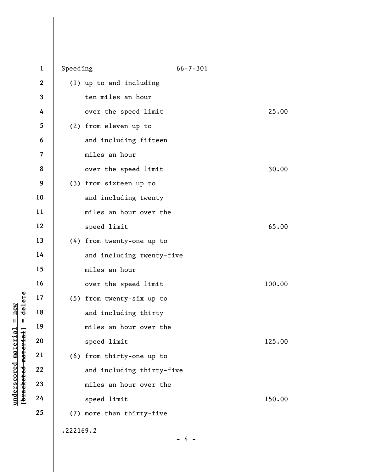|                                 | $\mathbf 1$             | Speeding  |                           | $66 - 7 - 301$ |        |
|---------------------------------|-------------------------|-----------|---------------------------|----------------|--------|
|                                 | $\boldsymbol{2}$        |           | (1) up to and including   |                |        |
|                                 | 3                       |           | ten miles an hour         |                |        |
|                                 | 4                       |           | over the speed limit      |                | 25.00  |
|                                 | 5                       |           | (2) from eleven up to     |                |        |
|                                 | 6                       |           | and including fifteen     |                |        |
|                                 | $\overline{\mathbf{z}}$ |           | miles an hour             |                |        |
|                                 | 8                       |           |                           |                |        |
|                                 |                         |           | over the speed limit      |                | 30.00  |
|                                 | 9                       |           | (3) from sixteen up to    |                |        |
|                                 | 10                      |           | and including twenty      |                |        |
|                                 | 11                      |           | miles an hour over the    |                |        |
|                                 | 12                      |           | speed limit               |                | 65.00  |
|                                 | 13                      |           | (4) from twenty-one up to |                |        |
|                                 | 14                      |           | and including twenty-five |                |        |
|                                 | 15                      |           | miles an hour             |                |        |
|                                 | 16                      |           | over the speed limit      |                | 100.00 |
| delete                          | 17                      |           | (5) from twenty-six up to |                |        |
| new<br>Ш<br>Ш.                  | 18                      |           | and including thirty      |                |        |
|                                 | 19                      |           | miles an hour over the    |                |        |
|                                 | 20                      |           | speed limit               |                | 125.00 |
|                                 | 21                      |           | (6) from thirty-one up to |                |        |
| [ <del>bracketed material</del> | 22                      |           | and including thirty-five |                |        |
|                                 | 23                      |           | miles an hour over the    |                |        |
| underscored material            | 24                      |           | speed limit               |                | 150.00 |
|                                 | 25                      |           | (7) more than thirty-five |                |        |
|                                 |                         | .222169.2 |                           |                |        |
|                                 |                         |           |                           | 4              |        |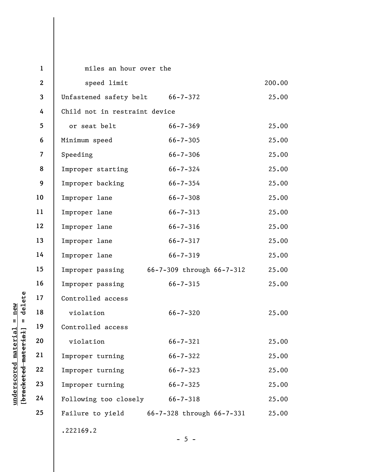|                                    | $\mathbf{1}$            | miles an hour over the          |                                            |       |  |  |
|------------------------------------|-------------------------|---------------------------------|--------------------------------------------|-------|--|--|
|                                    | $\mathbf{2}$            | speed limit                     |                                            |       |  |  |
|                                    | $\overline{\mathbf{3}}$ | Unfastened safety belt 66-7-372 |                                            | 25.00 |  |  |
|                                    | 4                       | Child not in restraint device   |                                            |       |  |  |
|                                    | 5                       | or seat belt                    | $66 - 7 - 369$                             | 25.00 |  |  |
|                                    | 6                       | Minimum speed                   | $66 - 7 - 305$                             | 25.00 |  |  |
|                                    | $\overline{7}$          | Speeding                        | $66 - 7 - 306$                             | 25.00 |  |  |
|                                    | 8                       | Improper starting               | $66 - 7 - 324$                             | 25.00 |  |  |
|                                    | 9                       | Improper backing                | $66 - 7 - 354$                             | 25.00 |  |  |
|                                    | 10                      | Improper lane                   | $66 - 7 - 308$                             | 25.00 |  |  |
|                                    | 11                      | Improper lane                   | $66 - 7 - 313$                             | 25.00 |  |  |
|                                    | 12                      | Improper lane                   | $66 - 7 - 316$                             | 25.00 |  |  |
|                                    | 13                      | Improper lane                   | $66 - 7 - 317$                             | 25.00 |  |  |
|                                    | 14                      | Improper lane                   | $66 - 7 - 319$                             | 25.00 |  |  |
|                                    | 15                      |                                 | Improper passing 66-7-309 through 66-7-312 | 25.00 |  |  |
|                                    | 16                      | Improper passing                | $66 - 7 - 315$                             | 25.00 |  |  |
| delete                             | 17                      | Controlled access               |                                            |       |  |  |
| new                                | 18                      | violation                       | $66 - 7 - 320$                             | 25.00 |  |  |
| $\mathsf{II}$<br>$\mathbf{I}$      | 19                      | Controlled access               |                                            |       |  |  |
| materia                            | 20                      | violation                       | $66 - 7 - 321$                             | 25.00 |  |  |
|                                    | 21                      | Improper turning                | $66 - 7 - 322$                             | 25.00 |  |  |
| [bracketed material<br>underscored | 22                      | Improper turning                | $66 - 7 - 323$                             | 25.00 |  |  |
|                                    | 23                      | Improper turning                | $66 - 7 - 325$                             | 25.00 |  |  |
|                                    | 24                      | Following too closely           | $66 - 7 - 318$                             | 25.00 |  |  |
|                                    | 25                      |                                 | Failure to yield 66-7-328 through 66-7-331 | 25.00 |  |  |
|                                    |                         | .222169.2                       |                                            |       |  |  |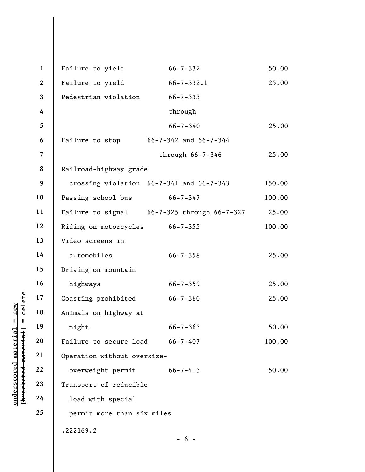|                                             | $\mathbf{1}$   | Failure to yield               | $66 - 7 - 332$                              | 50.00  |  |  |
|---------------------------------------------|----------------|--------------------------------|---------------------------------------------|--------|--|--|
|                                             | $\overline{2}$ | Failure to yield               | $66 - 7 - 332.1$                            | 25.00  |  |  |
|                                             | $\mathbf{3}$   | Pedestrian violation           | $66 - 7 - 333$                              |        |  |  |
|                                             | 4              |                                | through                                     |        |  |  |
|                                             | 5              |                                | $66 - 7 - 340$                              | 25.00  |  |  |
|                                             | 6              |                                | Failure to stop 66-7-342 and 66-7-344       |        |  |  |
|                                             | $\overline{7}$ |                                | through $66 - 7 - 346$                      | 25.00  |  |  |
|                                             | 8              | Railroad-highway grade         |                                             |        |  |  |
|                                             | 9              |                                | crossing violation 66-7-341 and 66-7-343    | 150.00 |  |  |
|                                             | 10<br>11       | Passing school bus             | $66 - 7 - 347$                              | 100.00 |  |  |
|                                             |                |                                | Failure to signal 66-7-325 through 66-7-327 | 25.00  |  |  |
|                                             | 12             | Riding on motorcycles 66-7-355 |                                             | 100.00 |  |  |
|                                             | 13             | Video screens in               |                                             |        |  |  |
|                                             | 14             | automobiles                    | $66 - 7 - 358$                              | 25.00  |  |  |
|                                             | 15             | Driving on mountain            |                                             |        |  |  |
|                                             | 16             | highways                       | $66 - 7 - 359$                              | 25.00  |  |  |
| delete                                      | 17             | Coasting prohibited            | $66 - 7 - 360$                              | 25.00  |  |  |
| $n$ ew                                      | 18             | Animals on highway at          |                                             |        |  |  |
| $\,$ II<br>$\mathbf{II}$                    | 19             | night                          | $66 - 7 - 363$                              | 50.00  |  |  |
| material<br>[ <del>bracketed material</del> | 20             | Failure to secure load         | $66 - 7 - 407$                              | 100.00 |  |  |
|                                             | 21             | Operation without oversize-    |                                             |        |  |  |
| underscored                                 | 22             | overweight permit              | $66 - 7 - 413$                              | 50.00  |  |  |
|                                             | 23             | Transport of reducible         |                                             |        |  |  |
|                                             | 24             | load with special              |                                             |        |  |  |
|                                             | 25             | permit more than six miles     |                                             |        |  |  |
|                                             | .222169.2      |                                |                                             |        |  |  |
|                                             |                |                                | - 6 -                                       |        |  |  |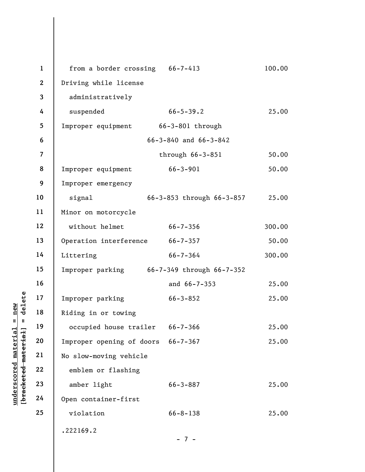|                                                        | $\mathbf{1}$             | from a border crossing 66-7-413            |                           | 100.00 |  |  |  |
|--------------------------------------------------------|--------------------------|--------------------------------------------|---------------------------|--------|--|--|--|
|                                                        | $\mathbf{2}$             | Driving while license                      |                           |        |  |  |  |
|                                                        | $\overline{\mathbf{3}}$  | administratively                           |                           |        |  |  |  |
|                                                        | 4                        | suspended                                  | $66 - 5 - 39.2$           | 25.00  |  |  |  |
|                                                        | 5                        | Improper equipment 66-3-801 through        |                           |        |  |  |  |
|                                                        | 6                        | $66 - 3 - 840$ and $66 - 3 - 842$          |                           |        |  |  |  |
|                                                        | $\overline{\mathcal{L}}$ |                                            | through $66-3-851$        | 50.00  |  |  |  |
|                                                        | 8                        | Improper equipment                         | $66 - 3 - 901$            | 50.00  |  |  |  |
|                                                        | 9                        | Improper emergency                         |                           |        |  |  |  |
|                                                        | 10                       | signal                                     | 66-3-853 through 66-3-857 | 25.00  |  |  |  |
|                                                        | 11                       | Minor on motorcycle                        |                           |        |  |  |  |
|                                                        | 12                       | without helmet                             | $66 - 7 - 356$            | 300.00 |  |  |  |
|                                                        | 13                       | Operation interference 66-7-357            |                           | 50.00  |  |  |  |
|                                                        | 14                       | Littering                                  | $66 - 7 - 364$            | 300.00 |  |  |  |
|                                                        | 15                       | Improper parking 66-7-349 through 66-7-352 |                           |        |  |  |  |
|                                                        | 16                       |                                            | and 66-7-353              | 25.00  |  |  |  |
| delete                                                 | 17                       | Improper parking                           | $66 - 3 - 852$            | 25.00  |  |  |  |
| new                                                    | 18                       | Riding in or towing                        |                           |        |  |  |  |
| $\mathbf{II}$<br>$\blacksquare$                        | 19                       | occupied house trailer 66-7-366            |                           | 25.00  |  |  |  |
| underscored materia<br>[ <del>bracketed material</del> | 20                       | Improper opening of doors 66-7-367         |                           | 25.00  |  |  |  |
|                                                        | 21                       | No slow-moving vehicle                     |                           |        |  |  |  |
|                                                        | 22                       | emblem or flashing                         |                           |        |  |  |  |
|                                                        | 23                       | amber light<br>$66 - 3 - 887$              |                           |        |  |  |  |
|                                                        | 24                       | Open container-first                       |                           |        |  |  |  |
|                                                        | 25                       | violation                                  | $66 - 8 - 138$            | 25.00  |  |  |  |
|                                                        |                          | .222169.2                                  |                           |        |  |  |  |
|                                                        |                          |                                            | $-7 -$                    |        |  |  |  |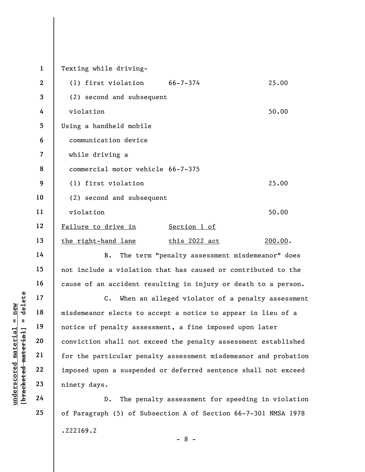underscored material = new [bracketed material] = delete 1 2 3 4 5 6 7 8 9 10 11 12 13 14 15 16 17 18 19 20 21 22 Texting while driving- (1) first violation 66-7-374 25.00 (2) second and subsequent violation 50.00 Using a handheld mobile communication device while driving a commercial motor vehicle 66-7-375 (1) first violation 25.00 (2) second and subsequent violation 50.00 Failure to drive in Section 1 of the right-hand lane this 2022 act 200.00. B. The term "penalty assessment misdemeanor" does not include a violation that has caused or contributed to the cause of an accident resulting in injury or death to a person. C. When an alleged violator of a penalty assessment misdemeanor elects to accept a notice to appear in lieu of a notice of penalty assessment, a fine imposed upon later conviction shall not exceed the penalty assessment established for the particular penalty assessment misdemeanor and probation imposed upon a suspended or deferred sentence shall not exceed

D. The penalty assessment for speeding in violation of Paragraph (5) of Subsection A of Section 66-7-301 NMSA 1978 .222169.2

23

ninety days.

24

25

- 8 -